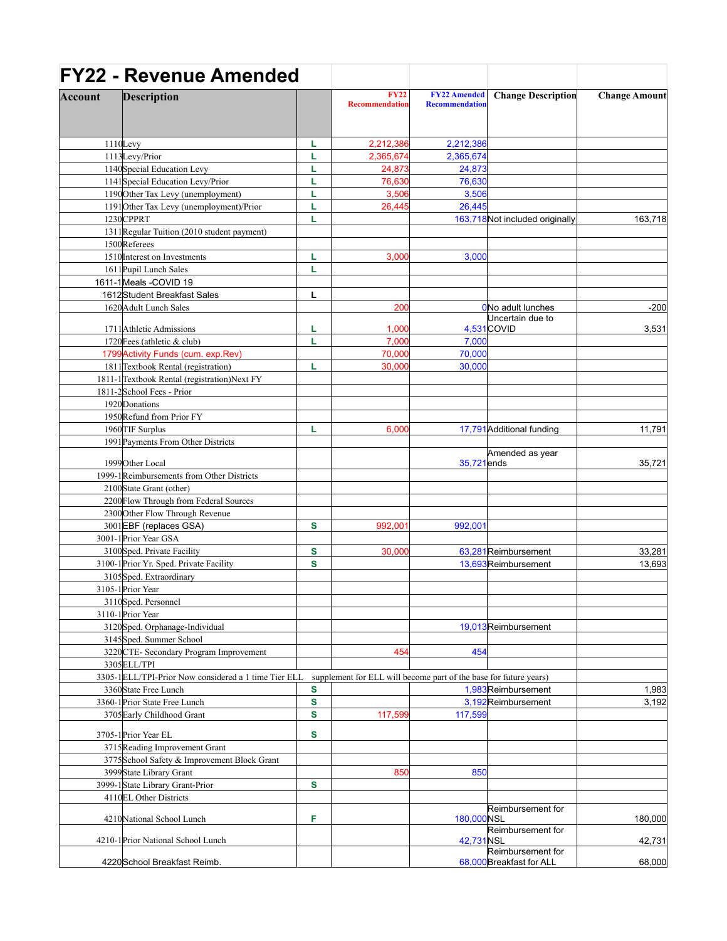|         | <b>FY22 - Revenue Amended</b>                          |   |                                                                   |                                              |                                               |                      |
|---------|--------------------------------------------------------|---|-------------------------------------------------------------------|----------------------------------------------|-----------------------------------------------|----------------------|
| Account | <b>Description</b>                                     |   | <b>FY22</b><br><b>Recommendation</b>                              | <b>FY22 Amended</b><br><b>Recommendation</b> | <b>Change Description</b>                     | <b>Change Amount</b> |
|         | $1110$ Levy                                            | L | 2,212,386                                                         | 2,212,386                                    |                                               |                      |
|         | 1113Levy/Prior                                         | L | 2,365,674                                                         | 2,365,674                                    |                                               |                      |
|         | 1140 Special Education Levy                            | L | 24,873                                                            | 24,873                                       |                                               |                      |
|         | 1141 Special Education Levy/Prior                      | L | 76,630                                                            | 76,630                                       |                                               |                      |
|         | 1190 Other Tax Levy (unemployment)                     | L | 3,506                                                             | 3,506                                        |                                               |                      |
|         | 1191 Other Tax Levy (unemployment)/Prior               | L |                                                                   |                                              |                                               |                      |
|         | 1230CPPRT                                              |   | 26,445                                                            | 26,445                                       |                                               |                      |
|         |                                                        | L |                                                                   |                                              | 163,718 Not included originally               | 163,718              |
|         | 1311 Regular Tuition (2010 student payment)            |   |                                                                   |                                              |                                               |                      |
|         | 1500Referees                                           |   |                                                                   |                                              |                                               |                      |
|         | 1510 Interest on Investments                           | L | 3,000                                                             | 3,000                                        |                                               |                      |
|         | 1611 Pupil Lunch Sales                                 | L |                                                                   |                                              |                                               |                      |
|         | 1611-1Meals -COVID 19                                  |   |                                                                   |                                              |                                               |                      |
|         | 1612 Student Breakfast Sales                           | L |                                                                   |                                              |                                               |                      |
|         | 1620 Adult Lunch Sales                                 |   | 200                                                               |                                              | ONo adult lunches                             | $-200$               |
|         | 1711 Athletic Admissions                               | L | 1,000                                                             |                                              | Uncertain due to<br>4,531 COVID               | 3,531                |
|         | 1720 Fees (athletic & club)                            | L | 7,000                                                             | 7,000                                        |                                               |                      |
|         | 1799 Activity Funds (cum. exp. Rev)                    |   | 70,000                                                            | 70,000                                       |                                               |                      |
|         | 1811 Textbook Rental (registration)                    | L | 30,000                                                            | 30,000                                       |                                               |                      |
|         | 1811-1 Textbook Rental (registration) Next FY          |   |                                                                   |                                              |                                               |                      |
|         | 1811-2School Fees - Prior                              |   |                                                                   |                                              |                                               |                      |
|         | 1920 Donations                                         |   |                                                                   |                                              |                                               |                      |
|         | 1950 Refund from Prior FY                              |   |                                                                   |                                              |                                               |                      |
|         | 1960 TIF Surplus                                       | L |                                                                   |                                              |                                               | 11,791               |
|         |                                                        |   | 6,000                                                             |                                              | 17,791 Additional funding                     |                      |
|         | 1991 Payments From Other Districts<br>1999 Other Local |   |                                                                   | 35,721ends                                   | Amended as year                               | 35,721               |
|         | 1999-1 Reimbursements from Other Districts             |   |                                                                   |                                              |                                               |                      |
|         | 2100 State Grant (other)                               |   |                                                                   |                                              |                                               |                      |
|         | 2200 Flow Through from Federal Sources                 |   |                                                                   |                                              |                                               |                      |
|         | 2300 Other Flow Through Revenue                        |   |                                                                   |                                              |                                               |                      |
|         |                                                        |   |                                                                   |                                              |                                               |                      |
|         | 3001 EBF (replaces GSA)                                | s | 992,001                                                           | 992,001                                      |                                               |                      |
|         | 3001-1 Prior Year GSA                                  |   |                                                                   |                                              |                                               |                      |
|         | 3100Sped. Private Facility                             | S | 30,000                                                            |                                              | 63,281 Reimbursement                          | 33,281               |
|         | 3100-1 Prior Yr. Sped. Private Facility                | S |                                                                   |                                              | 13,693 Reimbursement                          | 13,693               |
|         | 3105Sped. Extraordinary                                |   |                                                                   |                                              |                                               |                      |
|         | 3105-1 Prior Year                                      |   |                                                                   |                                              |                                               |                      |
|         | 3110Sped. Personnel                                    |   |                                                                   |                                              |                                               |                      |
|         | 3110-1 Prior Year                                      |   |                                                                   |                                              |                                               |                      |
|         | 3120Sped. Orphanage-Individual                         |   |                                                                   |                                              | 19,013 Reimbursement                          |                      |
|         | 3145 Sped. Summer School                               |   |                                                                   |                                              |                                               |                      |
|         | 3220 CTE- Secondary Program Improvement                |   | 454                                                               | 454                                          |                                               |                      |
|         | 3305 ELL/TPI                                           |   |                                                                   |                                              |                                               |                      |
|         | 3305-1 ELL/TPI-Prior Now considered a 1 time Tier ELL  |   | supplement for ELL will become part of the base for future years) |                                              |                                               |                      |
|         | 3360State Free Lunch                                   | S |                                                                   |                                              | 1,983Reimbursement                            | 1,983                |
|         | 3360-1 Prior State Free Lunch                          | S |                                                                   |                                              | 3,192Reimbursement                            | 3,192                |
|         | 3705 Early Childhood Grant                             | S | 117,599                                                           | 117,599                                      |                                               |                      |
|         | 3705-1 Prior Year EL                                   | s |                                                                   |                                              |                                               |                      |
|         | 3715 Reading Improvement Grant                         |   |                                                                   |                                              |                                               |                      |
|         | 3775 School Safety & Improvement Block Grant           |   |                                                                   |                                              |                                               |                      |
|         | 3999 State Library Grant                               |   | 850                                                               | 850                                          |                                               |                      |
|         |                                                        |   |                                                                   |                                              |                                               |                      |
|         | 3999-1State Library Grant-Prior                        | S |                                                                   |                                              |                                               |                      |
|         | 4110EL Other Districts                                 |   |                                                                   |                                              |                                               |                      |
|         | 4210 National School Lunch                             | F |                                                                   | 180,000 NSL                                  | Reimbursement for                             | 180,000              |
|         |                                                        |   |                                                                   |                                              | Reimbursement for                             |                      |
|         | 4210-1 Prior National School Lunch                     |   |                                                                   | 42,731 NSL                                   |                                               | 42,731               |
|         | 4220 School Breakfast Reimb.                           |   |                                                                   |                                              | Reimbursement for<br>68,000 Breakfast for ALL | 68,000               |
|         |                                                        |   |                                                                   |                                              |                                               |                      |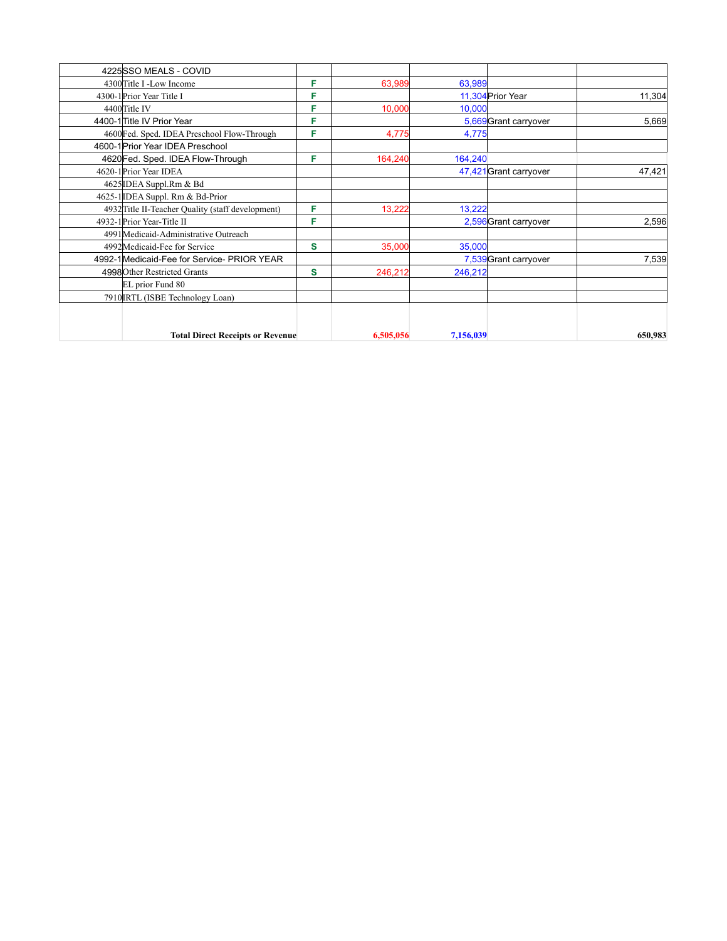| 4225 SSO MEALS - COVID                            |   |           |           |                        |         |
|---------------------------------------------------|---|-----------|-----------|------------------------|---------|
| 4300 Title I -Low Income                          | F | 63,989    | 63,989    |                        |         |
| 4300-1 Prior Year Title I                         | F |           |           | 11,304 Prior Year      | 11,304  |
| 4400 Title IV                                     | F | 10,000    | 10,000    |                        |         |
| 4400-1 Title IV Prior Year                        | F |           |           | 5,669 Grant carryover  | 5,669   |
| 4600 Fed. Sped. IDEA Preschool Flow-Through       | F | 4,775     | 4,775     |                        |         |
| 4600-1 Prior Year IDEA Preschool                  |   |           |           |                        |         |
| 4620 Fed. Sped. IDEA Flow-Through                 | F | 164,240   | 164,240   |                        |         |
| 4620-1 Prior Year IDEA                            |   |           |           | 47,421 Grant carryover | 47,421  |
| 4625 IDEA Suppl.Rm & Bd                           |   |           |           |                        |         |
| 4625-1 IDEA Suppl. Rm & Bd-Prior                  |   |           |           |                        |         |
| 4932 Title II-Teacher Quality (staff development) | F | 13,222    | 13,222    |                        |         |
| 4932-1 Prior Year-Title II                        | F |           |           | 2,596 Grant carryover  | 2,596   |
| 4991 Medicaid-Administrative Outreach             |   |           |           |                        |         |
| 4992Medicaid-Fee for Service                      | S | 35,000    | 35,000    |                        |         |
| 4992-1 Medicaid-Fee for Service- PRIOR YEAR       |   |           |           | 7,539 Grant carryover  | 7,539   |
| 4998 Other Restricted Grants                      | S | 246,212   | 246,212   |                        |         |
| EL prior Fund 80                                  |   |           |           |                        |         |
| 7910 IRTL (ISBE Technology Loan)                  |   |           |           |                        |         |
|                                                   |   |           |           |                        |         |
| <b>Total Direct Receipts or Revenue</b>           |   | 6,505,056 | 7,156,039 |                        | 650,983 |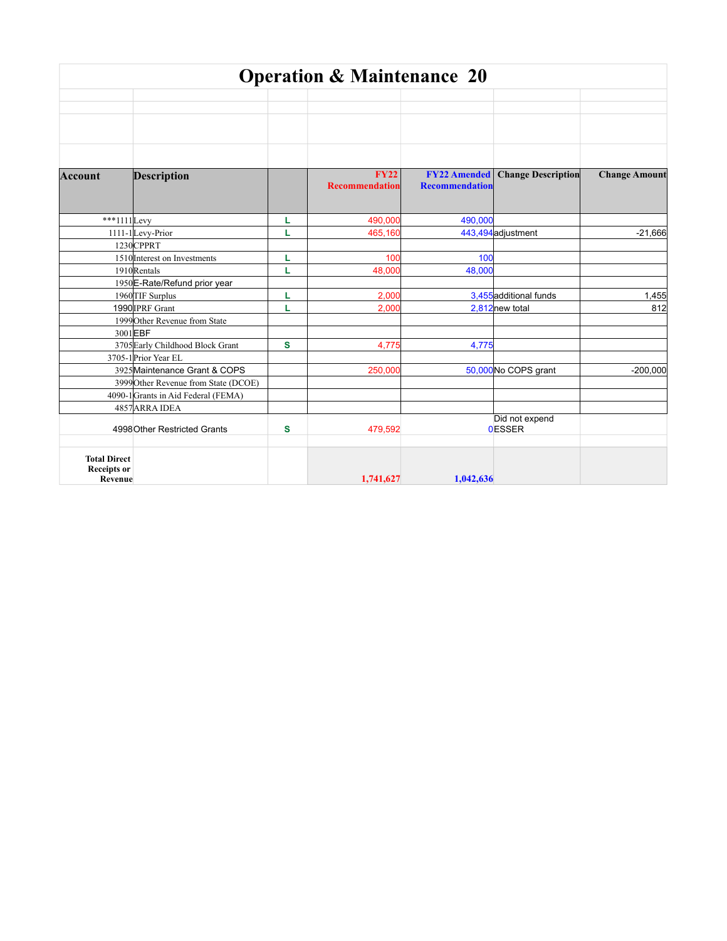|                               |                                      |   | <b>Operation &amp; Maintenance 20</b> |                       |                            |                      |
|-------------------------------|--------------------------------------|---|---------------------------------------|-----------------------|----------------------------|----------------------|
|                               |                                      |   |                                       |                       |                            |                      |
|                               |                                      |   |                                       |                       |                            |                      |
|                               |                                      |   |                                       |                       |                            |                      |
|                               |                                      |   |                                       |                       |                            |                      |
|                               |                                      |   | <b>FY22</b>                           | <b>FY22 Amended</b>   | <b>Change Description</b>  | <b>Change Amount</b> |
| <b>Account</b>                | Description                          |   | <b>Recommendation</b>                 | <b>Recommendation</b> |                            |                      |
|                               |                                      |   |                                       |                       |                            |                      |
| ***1111Levy                   |                                      | L | 490,000                               | 490,000               |                            |                      |
|                               | 1111-1Levy-Prior                     | L | 465,160                               |                       | 443,494 adjustment         | $-21,666$            |
|                               | 1230CPPRT                            |   |                                       |                       |                            |                      |
|                               | 1510 Interest on Investments         | L | 10 <sub>C</sub>                       | 100                   |                            |                      |
|                               | 1910Rentals                          | L | 48,000                                | 48,000                |                            |                      |
|                               | 1950 E-Rate/Refund prior year        |   |                                       |                       |                            |                      |
|                               | 1960 TIF Surplus                     | L | 2,000                                 |                       | 3,455 additional funds     | 1,455                |
|                               | 1990 IPRF Grant                      | L | 2,000                                 |                       | 2,812 <sub>new</sub> total | 812                  |
|                               | 1999 Other Revenue from State        |   |                                       |                       |                            |                      |
|                               | 3001EBF                              |   |                                       |                       |                            |                      |
|                               | 3705 Early Childhood Block Grant     | s | 4,775                                 | 4,775                 |                            |                      |
|                               | 3705-1 Prior Year EL                 |   |                                       |                       |                            |                      |
|                               | 3925 Maintenance Grant & COPS        |   | 250,000                               |                       | 50,000 No COPS grant       | $-200,000$           |
|                               | 3999 Other Revenue from State (DCOE) |   |                                       |                       |                            |                      |
|                               | 4090-1 Grants in Aid Federal (FEMA)  |   |                                       |                       |                            |                      |
|                               | 4857 ARRA IDEA                       |   |                                       |                       | Did not expend             |                      |
|                               | 4998 Other Restricted Grants         | s | 479,592                               |                       | <b>OESSER</b>              |                      |
| <b>Total Direct</b>           |                                      |   |                                       |                       |                            |                      |
| <b>Receipts</b> or<br>Revenue |                                      |   | 1,741,627                             | 1.042.636             |                            |                      |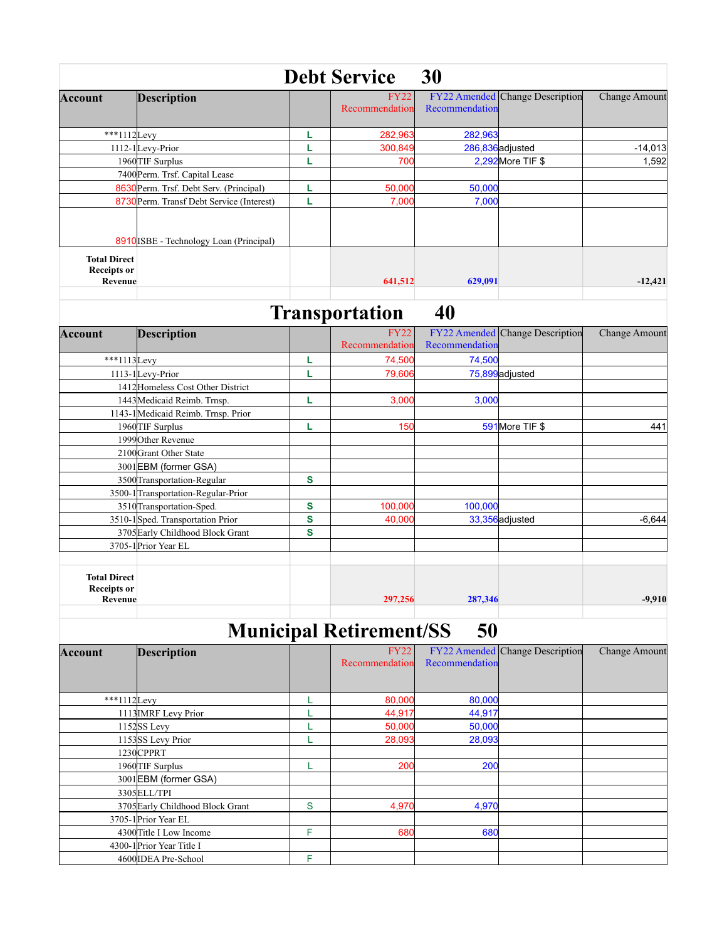|                                           |                                           | <b>Debt Service</b>           | 30             |                                        |                      |
|-------------------------------------------|-------------------------------------------|-------------------------------|----------------|----------------------------------------|----------------------|
| <b>Account</b>                            | <b>Description</b>                        | <b>FY22</b><br>Recommendation | Recommendation | <b>FY22 Amended Change Description</b> | <b>Change Amount</b> |
| ***1112Levy                               |                                           | 282,963                       | 282,963        |                                        |                      |
|                                           | 1112-1Levy-Prior                          | 300,849                       |                | 286,836 adjusted                       | $-14,013$            |
|                                           | 1960 TIF Surplus                          | 700                           |                | 2,292 More TIF \$                      | 1,592                |
|                                           | 7400 Perm. Trsf. Capital Lease            |                               |                |                                        |                      |
|                                           | 8630 Perm. Trsf. Debt Serv. (Principal)   | 50,000                        | 50,000         |                                        |                      |
|                                           | 8730 Perm. Transf Debt Service (Interest) | 7,000                         | 7,000          |                                        |                      |
| <b>Total Direct</b><br><b>Receipts or</b> | 8910 ISBE - Technology Loan (Principal)   |                               |                |                                        |                      |
| Revenue                                   |                                           | 641,512                       | 629,091        |                                        | $-12,421$            |

## **Transportation 40**

| <b>Account</b>                                       | <b>Description</b>                  |   | <b>FY22</b><br>Recommendation | Recommendation | <b>FY22</b> Amended Change Description | <b>Change Amount</b> |
|------------------------------------------------------|-------------------------------------|---|-------------------------------|----------------|----------------------------------------|----------------------|
| ***1113Levy                                          |                                     | L | 74,500                        | 74,500         |                                        |                      |
|                                                      | 1113-1Levy-Prior                    | L | 79,606                        |                | 75,899adjusted                         |                      |
|                                                      | 1412 Homeless Cost Other District   |   |                               |                |                                        |                      |
|                                                      | 1443 Medicaid Reimb. Trnsp.         | L | 3,000                         | 3,000          |                                        |                      |
|                                                      | 1143-1 Medicaid Reimb. Trnsp. Prior |   |                               |                |                                        |                      |
|                                                      | 1960 TIF Surplus                    | L | 150                           |                | 591 More TIF \$                        | 441                  |
|                                                      | 1999 Other Revenue                  |   |                               |                |                                        |                      |
|                                                      | 2100 Grant Other State              |   |                               |                |                                        |                      |
|                                                      | 3001EBM (former GSA)                |   |                               |                |                                        |                      |
|                                                      | 3500 Transportation-Regular         | S |                               |                |                                        |                      |
|                                                      | 3500-1 Transportation-Regular-Prior |   |                               |                |                                        |                      |
|                                                      | 3510 Transportation-Sped.           | S | 100,000                       | 100,000        |                                        |                      |
|                                                      | 3510-1Sped. Transportation Prior    | S | 40,000                        |                | 33,356 adjusted                        | $-6,644$             |
|                                                      | 3705 Early Childhood Block Grant    | S |                               |                |                                        |                      |
|                                                      | 3705-1 Prior Year EL                |   |                               |                |                                        |                      |
|                                                      |                                     |   |                               |                |                                        |                      |
| <b>Total Direct</b><br><b>Receipts or</b><br>Revenue |                                     |   | 297,256                       | 287,346        |                                        | $-9,910$             |

## **Municipal Retirement/SS 50**

| Account     | Description                      |   | <b>FY22</b><br>Recommendation | Recommendation | <b>FY22</b> Amended Change Description | <b>Change Amount</b> |
|-------------|----------------------------------|---|-------------------------------|----------------|----------------------------------------|----------------------|
|             |                                  |   |                               |                |                                        |                      |
| ***1112Levy |                                  |   | 80,000                        | 80,000         |                                        |                      |
|             | 1113 IMRF Levy Prior             |   | 44,917                        | 44,917         |                                        |                      |
|             | 1152SS Levy                      |   | 50,000                        | 50,000         |                                        |                      |
|             | 1153SS Levy Prior                |   | 28,093                        | 28,093         |                                        |                      |
|             | 1230CPPRT                        |   |                               |                |                                        |                      |
|             | 1960 TIF Surplus                 |   | 200                           | 200            |                                        |                      |
|             | 3001EBM (former GSA)             |   |                               |                |                                        |                      |
|             | 3305 ELL/TPI                     |   |                               |                |                                        |                      |
|             | 3705 Early Childhood Block Grant | S | 4,970                         | 4,970          |                                        |                      |
|             | 3705-1 Prior Year EL             |   |                               |                |                                        |                      |
|             | 4300 Title I Low Income          | F | 680                           | 680            |                                        |                      |
|             | 4300-1 Prior Year Title I        |   |                               |                |                                        |                      |
|             | 4600 IDEA Pre-School             | F |                               |                |                                        |                      |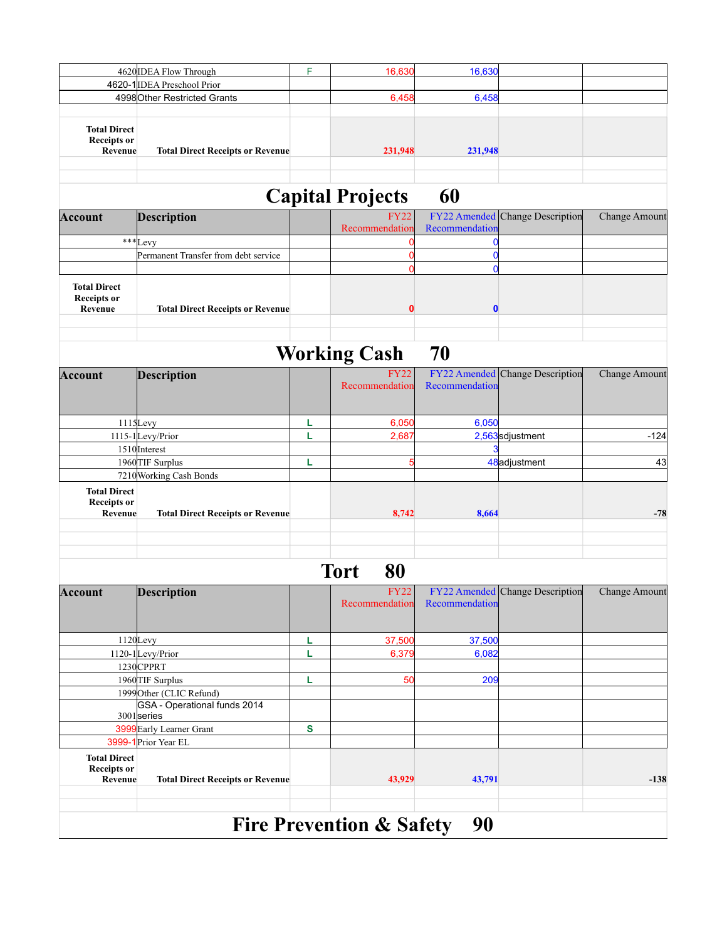|                                                      | 4620 IDEA Flow Through                      | F            | 16,630                              | 16,630                  |                                               |                      |
|------------------------------------------------------|---------------------------------------------|--------------|-------------------------------------|-------------------------|-----------------------------------------------|----------------------|
|                                                      | 4620-1 IDEA Preschool Prior                 |              |                                     |                         |                                               |                      |
|                                                      | 4998 Other Restricted Grants                |              | 6,458                               | 6,458                   |                                               |                      |
| <b>Total Direct</b><br><b>Receipts or</b><br>Revenue | <b>Total Direct Receipts or Revenue</b>     |              | 231,948                             | 231,948                 |                                               |                      |
|                                                      |                                             |              | <b>Capital Projects</b>             | 60                      |                                               |                      |
| <b>Account</b>                                       | <b>Description</b>                          |              | <b>FY22</b><br>Recommendation       | Recommendation          | <b>FY22</b> Amended Change Description        | <b>Change Amount</b> |
|                                                      | *** Levy                                    |              | C                                   | 0                       |                                               |                      |
|                                                      | Permanent Transfer from debt service        |              | $\mathbf 0$                         | $\mathbf 0$             |                                               |                      |
| <b>Total Direct</b><br><b>Receipts or</b><br>Revenue | <b>Total Direct Receipts or Revenue</b>     |              | 0<br>$\bf{0}$                       | $\mathbf 0$<br>$\bf{0}$ |                                               |                      |
|                                                      |                                             |              | <b>Working Cash</b>                 | 70                      |                                               |                      |
| <b>Account</b>                                       | <b>Description</b>                          |              | <b>FY22</b><br>Recommendation       | Recommendation          | <b>FY22</b> Amended Change Description        | <b>Change Amount</b> |
|                                                      | $1115$ Levy                                 | L            | 6,050                               | 6,050                   |                                               |                      |
|                                                      | 1115-1Levy/Prior                            | L            | 2,687                               |                         | 2,563sdjustment                               | $-124$               |
|                                                      | 1510 Interest                               |              |                                     |                         |                                               |                      |
|                                                      | 1960 TIF Surplus                            | L            | F                                   |                         | 48adjustment                                  | 43                   |
|                                                      | 7210 Working Cash Bonds                     |              |                                     |                         |                                               |                      |
| <b>Total Direct</b><br><b>Receipts or</b><br>Revenue | <b>Total Direct Receipts or Revenue</b>     |              | 8,742                               | 8,664                   |                                               | $-78$                |
| Account                                              | <b>Description</b>                          |              | <b>Tort</b><br>80<br><b>FY22</b>    |                         | FY22 Amended Change Description Change Amount |                      |
|                                                      |                                             |              | Recommendation                      | Recommendation          |                                               |                      |
|                                                      | 1120Levy                                    | Ц            | 37,500                              | 37,500                  |                                               |                      |
|                                                      | 1120-1Levy/Prior                            | L            | 6,379                               | 6,082                   |                                               |                      |
|                                                      | 1230CPPRT                                   |              |                                     |                         |                                               |                      |
|                                                      | 1960 TIF Surplus                            | L            | 50                                  | 209                     |                                               |                      |
|                                                      | 1999 Other (CLIC Refund)                    |              |                                     |                         |                                               |                      |
|                                                      | GSA - Operational funds 2014<br>3001 series |              |                                     |                         |                                               |                      |
|                                                      | 3999 Early Learner Grant                    | $\mathbf{s}$ |                                     |                         |                                               |                      |
|                                                      | 3999-1 Prior Year EL                        |              |                                     |                         |                                               |                      |
| <b>Total Direct</b><br><b>Receipts or</b><br>Revenue | <b>Total Direct Receipts or Revenue</b>     |              | 43,929                              | 43,791                  |                                               | $-138$               |
|                                                      |                                             |              | <b>Fire Prevention &amp; Safety</b> | 90                      |                                               |                      |